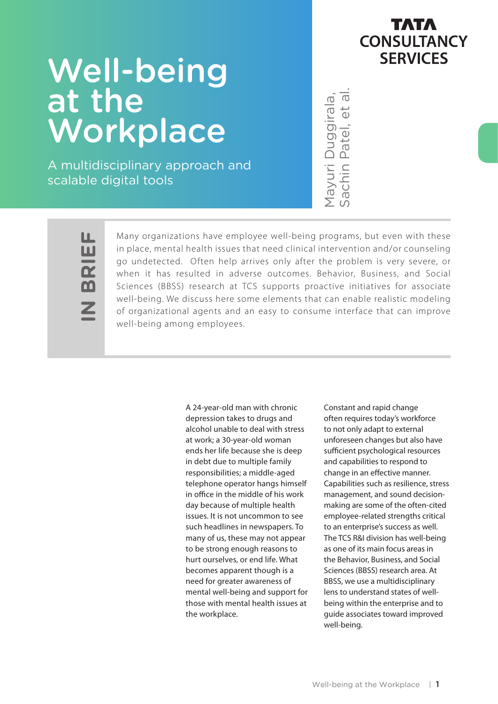## тлтл **CONSULTANCY SERVICES**

# Well-being at the Workplace

A multidisciplinary approach and scalable digital tools

Mayuri Duggirala,<br>Sachin Patel, et al

ட **IN BRIEF** Ш  $\mathbf{R}$ 

Many organizations have employee well-being programs, but even with these in place, mental health issues that need clinical intervention and/or counseling go undetected. Often help arrives only after the problem is very severe, or when it has resulted in adverse outcomes. Behavior, Business, and Social Sciences (BBSS) research at TCS supports proactive initiatives for associate well-being. We discuss here some elements that can enable realistic modeling of organizational agents and an easy to consume interface that can improve well-being among employees.

> A 24-year-old man with chronic depression takes to drugs and alcohol unable to deal with stress at work; a 30-year-old woman ends her life because she is deep in debt due to multiple family responsibilities; a middle-aged telephone operator hangs himself in office in the middle of his work day because of multiple health issues. It is not uncommon to see such headlines in newspapers. To many of us, these may not appear to be strong enough reasons to hurt ourselves, or end life. What becomes apparent though is a need for greater awareness of mental well-being and support for those with mental health issues at the workplace.

 $\frac{1}{100}$   $\frac{1}{100}$   $\frac{1}{100}$   $\frac{1}{100}$   $\frac{1}{100}$   $\frac{1}{100}$   $\frac{1}{100}$   $\frac{1}{100}$   $\frac{1}{100}$   $\frac{1}{100}$   $\frac{1}{100}$   $\frac{1}{100}$   $\frac{1}{100}$   $\frac{1}{100}$   $\frac{1}{100}$   $\frac{1}{100}$   $\frac{1}{100}$   $\frac{1}{100}$   $\frac{1$ Constant and rapid change often requires today's workforce to not only adapt to external unforeseen changes but also have sufficient psychological resources and capabilities to respond to change in an effective manner. Capabilities such as resilience, stress management, and sound decisionmaking are some of the often-cited employee-related strengths critical to an enterprise's success as well. The TCS R&I division has well-being as one of its main focus areas in the Behavior, Business, and Social Sciences (BBSS) research area. At BBSS, we use a multidisciplinary lens to understand states of wellbeing within the enterprise and to guide associates toward improved well-being.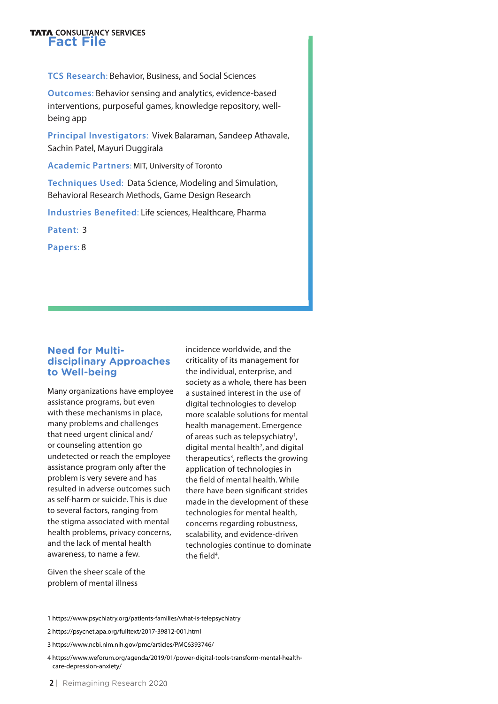# **FATA CONSULTANCY SERVICES**

**TCS Research**: Behavior, Business, and Social Sciences

**Outcomes**: Behavior sensing and analytics, evidence-based interventions, purposeful games, knowledge repository, wellbeing app

**Principal Investigators**: Vivek Balaraman, Sandeep Athavale, Sachin Patel, Mayuri Duggirala

**Academic Partners**: MIT, University of Toronto

**Techniques Used**: Data Science, Modeling and Simulation, Behavioral Research Methods, Game Design Research

**Industries Benefited**: Life sciences, Healthcare, Pharma

**Patent**: 3

**Papers**: 8

#### **Need for Multidisciplinary Approaches to Well-being**

Many organizations have employee assistance programs, but even with these mechanisms in place, many problems and challenges that need urgent clinical and/ or counseling attention go undetected or reach the employee assistance program only after the problem is very severe and has resulted in adverse outcomes such as self-harm or suicide. This is due to several factors, ranging from the stigma associated with mental health problems, privacy concerns, and the lack of mental health awareness, to name a few.

incidence worldwide, and the criticality of its management for the individual, enterprise, and society as a whole, there has been a sustained interest in the use of digital technologies to develop more scalable solutions for mental health management. Emergence of areas such as telepsychiatry<sup>1</sup>, digital mental health<sup>2</sup>, and digital therapeutics<sup>3</sup>, reflects the growing application of technologies in the field of mental health. While there have been significant strides made in the development of these technologies for mental health, concerns regarding robustness, scalability, and evidence-driven technologies continue to dominate the field<sup>4</sup>.

Given the sheer scale of the problem of mental illness

1 https://www.psychiatry.org/patients-families/what-is-telepsychiatry

4 https://www.weforum.org/agenda/2019/01/power-digital-tools-transform-mental-health care-depression-anxiety/

<sup>2</sup> https://psycnet.apa.org/fulltext/2017-39812-001.html

<sup>3</sup> https://www.ncbi.nlm.nih.gov/pmc/articles/PMC6393746/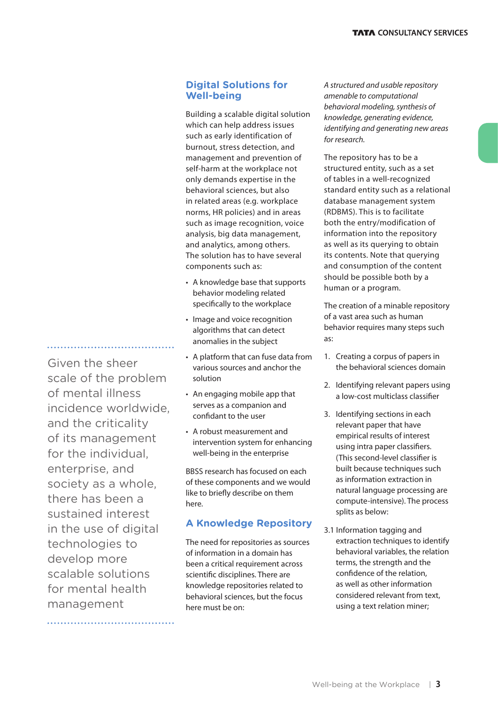#### **Digital Solutions for Well-being**

Building a scalable digital solution which can help address issues such as early identification of burnout, stress detection, and management and prevention of self-harm at the workplace not only demands expertise in the behavioral sciences, but also in related areas (e.g. workplace norms, HR policies) and in areas such as image recognition, voice analysis, big data management, and analytics, among others. The solution has to have several components such as:

- A knowledge base that supports behavior modeling related specifically to the workplace
- Image and voice recognition algorithms that can detect anomalies in the subject
- A platform that can fuse data from various sources and anchor the solution
- An engaging mobile app that serves as a companion and confidant to the user
- A robust measurement and intervention system for enhancing well-being in the enterprise

BBSS research has focused on each of these components and we would like to briefly describe on them here.

#### **A Knowledge Repository**

The need for repositories as sources of information in a domain has been a critical requirement across scientific disciplines. There are knowledge repositories related to behavioral sciences, but the focus here must be on:

*A structured and usable repository amenable to computational behavioral modeling, synthesis of knowledge, generating evidence, identifying and generating new areas for research.*

The repository has to be a structured entity, such as a set of tables in a well-recognized standard entity such as a relational database management system (RDBMS). This is to facilitate both the entry/modification of information into the repository as well as its querying to obtain its contents. Note that querying and consumption of the content should be possible both by a human or a program.

The creation of a minable repository of a vast area such as human behavior requires many steps such as:

- 1. Creating a corpus of papers in the behavioral sciences domain
- 2. Identifying relevant papers using a low-cost multiclass classifier
- 3. Identifying sections in each relevant paper that have empirical results of interest using intra paper classifiers. (This second-level classifier is built because techniques such as information extraction in natural language processing are compute-intensive). The process splits as below:
- 3.1 Information tagging and extraction techniques to identify behavioral variables, the relation terms, the strength and the confidence of the relation, as well as other information considered relevant from text, using a text relation miner;

Given the sheer scale of the problem of mental illness incidence worldwide, and the criticality of its management for the individual, enterprise, and society as a whole, there has been a sustained interest in the use of digital technologies to develop more scalable solutions for mental health management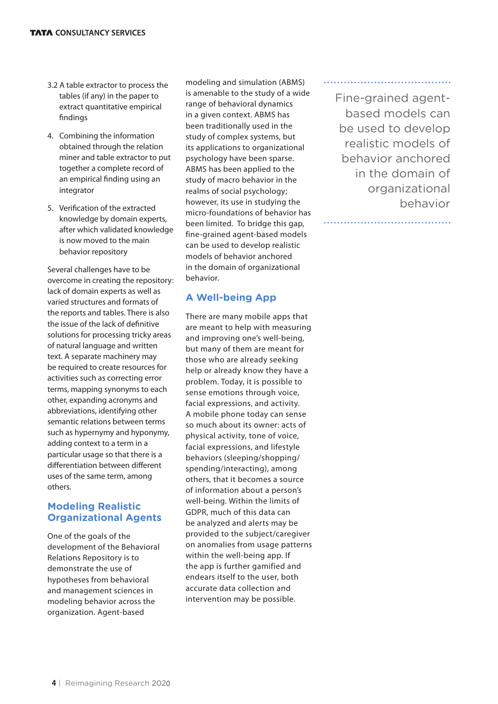- 3.2 A table extractor to process the tables (if any) in the paper to extract quantitative empirical findings
- 4. Combining the information obtained through the relation miner and table extractor to put together a complete record of an empirical finding using an integrator
- 5. Verification of the extracted knowledge by domain experts, after which validated knowledge is now moved to the main behavior repository

Several challenges have to be overcome in creating the repository: lack of domain experts as well as varied structures and formats of the reports and tables. There is also the issue of the lack of definitive solutions for processing tricky areas of natural language and written text. A separate machinery may be required to create resources for activities such as correcting error terms, mapping synonyms to each other, expanding acronyms and abbreviations, identifying other semantic relations between terms such as hypernymy and hyponymy, adding context to a term in a particular usage so that there is a differentiation between different uses of the same term, among others.

#### **Modeling Realistic Organizational Agents**

One of the goals of the development of the Behavioral Relations Repository is to demonstrate the use of hypotheses from behavioral and management sciences in modeling behavior across the organization. Agent-based

modeling and simulation (ABMS) is amenable to the study of a wide range of behavioral dynamics in a given context. ABMS has been traditionally used in the study of complex systems, but its applications to organizational psychology have been sparse. ABMS has been applied to the study of macro behavior in the realms of social psychology; however, its use in studying the micro-foundations of behavior has been limited. To bridge this gap, fine-grained agent-based models can be used to develop realistic models of behavior anchored in the domain of organizational behavior.

#### **A Well-being App**

There are many mobile apps that are meant to help with measuring and improving one's well-being, but many of them are meant for those who are already seeking help or already know they have a problem. Today, it is possible to sense emotions through voice, facial expressions, and activity. A mobile phone today can sense so much about its owner: acts of physical activity, tone of voice, facial expressions, and lifestyle behaviors (sleeping/shopping/ spending/interacting), among others, that it becomes a source of information about a person's well-being. Within the limits of GDPR, much of this data can be analyzed and alerts may be provided to the subject/caregiver on anomalies from usage patterns within the well-being app. If the app is further gamified and endears itself to the user, both accurate data collection and intervention may be possible.

Fine-grained agentbased models can be used to develop realistic models of behavior anchored in the domain of organizational behavior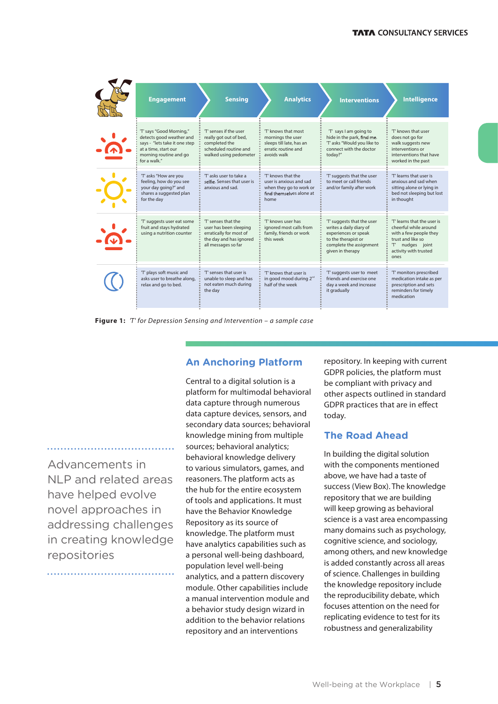| <b>Engagement</b>                                                                                                                                       | <b>Sensing</b>                                                                                                             | <b>Analytics</b>                                                                                             | <b>Interventions</b>                                                                                                                                | <b>Intelligence</b>                                                                                                                                        |
|---------------------------------------------------------------------------------------------------------------------------------------------------------|----------------------------------------------------------------------------------------------------------------------------|--------------------------------------------------------------------------------------------------------------|-----------------------------------------------------------------------------------------------------------------------------------------------------|------------------------------------------------------------------------------------------------------------------------------------------------------------|
| 'T' says "Good Morning,"<br>detects good weather and<br>says - "lets take it one step<br>at a time, start our<br>morning routine and go<br>for a walk." | 'T' senses if the user<br>really got out of bed,<br>completed the<br>scheduled routine and<br>walked using pedometer       | 'T' knows that most<br>mornings the user<br>sleeps till late, has an<br>erratic routine and<br>avoids walk   | 'T' says I am going to<br>hide in the park, find me.<br>'T' asks "Would you like to<br>connect with the doctor<br>today?"                           | 'T' knows that user<br>does not go for<br>walk suggests new<br>interventions or<br>interventions that have<br>worked in the past                           |
| 'T' asks "How are you<br>feeling, how do you see<br>your day going?" and<br>shares a suggested plan<br>for the day                                      | 'T' asks user to take a<br>selfie. Senses that user is<br>anxious and sad.                                                 | 'T' knows that the<br>user is anxious and sad<br>when they go to work or<br>find themselves alone at<br>home | 'T' suggests that the user<br>to meet or call friends<br>and/or family after work                                                                   | 'T' learns that user is<br>anxious and sad when<br>sitting alone or lying in<br>bed not sleeping but lost<br>in thought                                    |
| 'T' suggests user eat some<br>fruit and stays hydrated<br>using a nutrition counter                                                                     | 'T' senses that the<br>user has been sleeping<br>erratically for most of<br>the day and has ignored<br>all messages so far | 'T' knows user has<br>ignored most calls from<br>family, friends or work<br>this week                        | 'T' suggests that the user<br>writes a daily diary of<br>experiences or speak<br>to the therapist or<br>complete the assignment<br>given in therapy | 'T' learns that the user is<br>cheerful while around<br>with a few people they<br>trust and like so<br>nudges joint<br>т.<br>activity with trusted<br>ones |
| 'T' plays soft music and<br>asks user to breathe along.<br>relax and go to bed.                                                                         | 'T' senses that user is<br>unable to sleep and has<br>not eaten much during<br>the day                                     | 'T' knows that user is<br>in good mood during 2 <sup>nd</sup><br>half of the week                            | 'T' suggests user to meet<br>friends and exercise one<br>day a week and increase<br>it gradually                                                    | 'T' monitors prescribed<br>medication intake as per<br>prescription and sets<br>reminders for timely<br>medication                                         |

**Figure 1:** '*T*' *for Depression Sensing and Intervention – a sample case*

#### **An Anchoring Platform**

Advancements in NLP and related areas have helped evolve novel approaches in addressing challenges in creating knowledge repositories

Central to a digital solution is a platform for multimodal behavioral data capture through numerous data capture devices, sensors, and secondary data sources; behavioral knowledge mining from multiple sources; behavioral analytics; behavioral knowledge delivery to various simulators, games, and reasoners. The platform acts as the hub for the entire ecosystem of tools and applications. It must have the Behavior Knowledge Repository as its source of knowledge. The platform must have analytics capabilities such as a personal well-being dashboard, population level well-being analytics, and a pattern discovery module. Other capabilities include a manual intervention module and a behavior study design wizard in addition to the behavior relations repository and an interventions

repository. In keeping with current GDPR policies, the platform must be compliant with privacy and other aspects outlined in standard GDPR practices that are in effect today.

#### **The Road Ahead**

In building the digital solution with the components mentioned above, we have had a taste of success (View Box). The knowledge repository that we are building will keep growing as behavioral science is a vast area encompassing many domains such as psychology, cognitive science, and sociology, among others, and new knowledge is added constantly across all areas of science. Challenges in building the knowledge repository include the reproducibility debate, which focuses attention on the need for replicating evidence to test for its robustness and generalizability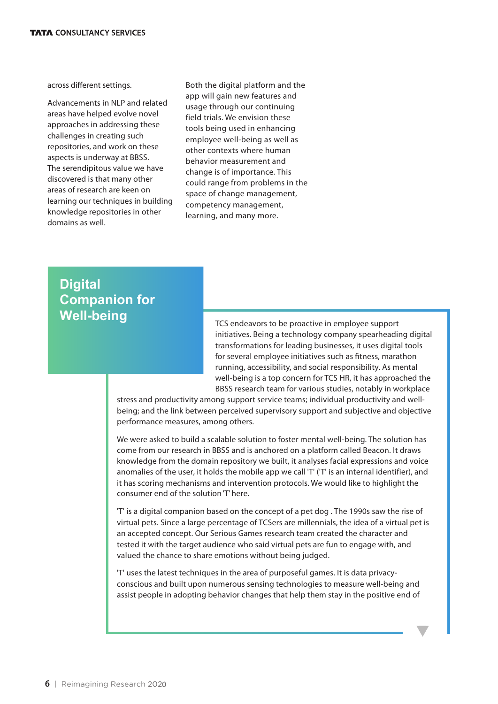across different settings.

Advancements in NLP and related areas have helped evolve novel approaches in addressing these challenges in creating such repositories, and work on these aspects is underway at BBSS. The serendipitous value we have discovered is that many other areas of research are keen on learning our techniques in building knowledge repositories in other domains as well.

Both the digital platform and the app will gain new features and usage through our continuing field trials. We envision these tools being used in enhancing employee well-being as well as other contexts where human behavior measurement and change is of importance. This could range from problems in the space of change management, competency management, learning, and many more.

### **Digital Companion for Well-being**

TCS endeavors to be proactive in employee support initiatives. Being a technology company spearheading digital transformations for leading businesses, it uses digital tools for several employee initiatives such as fitness, marathon running, accessibility, and social responsibility. As mental well-being is a top concern for TCS HR, it has approached the BBSS research team for various studies, notably in workplace

stress and productivity among support service teams; individual productivity and wellbeing; and the link between perceived supervisory support and subjective and objective performance measures, among others.

We were asked to build a scalable solution to foster mental well-being. The solution has come from our research in BBSS and is anchored on a platform called Beacon. It draws knowledge from the domain repository we built, it analyses facial expressions and voice anomalies of the user, it holds the mobile app we call 'T' ('T' is an internal identifier), and it has scoring mechanisms and intervention protocols. We would like to highlight the consumer end of the solution 'T' here.

'T' is a digital companion based on the concept of a pet dog . The 1990s saw the rise of virtual pets. Since a large percentage of TCSers are millennials, the idea of a virtual pet is an accepted concept. Our Serious Games research team created the character and tested it with the target audience who said virtual pets are fun to engage with, and valued the chance to share emotions without being judged.

'T' uses the latest techniques in the area of purposeful games. It is data privacyconscious and built upon numerous sensing technologies to measure well-being and assist people in adopting behavior changes that help them stay in the positive end of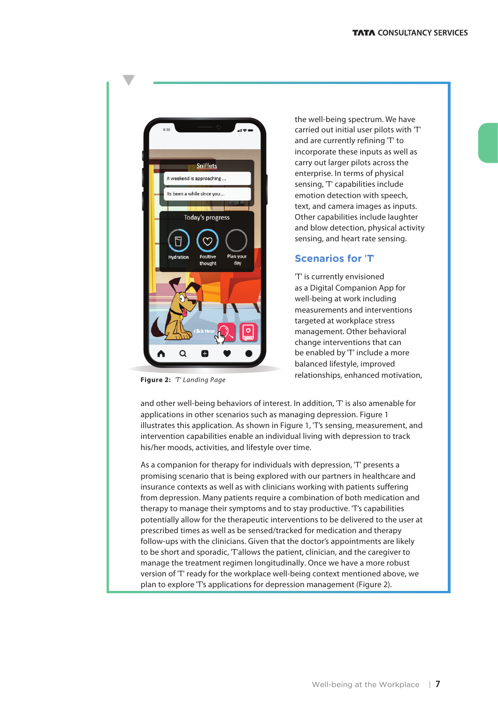

**Figure 2:** '*T*' *Landing Page*

the well-being spectrum. We have carried out initial user pilots with 'T' and are currently refining 'T' to incorporate these inputs as well as carry out larger pilots across the enterprise. In terms of physical sensing, 'T' capabilities include emotion detection with speech, text, and camera images as inputs. Other capabilities include laughter and blow detection, physical activity sensing, and heart rate sensing.

#### **Scenarios for 'T'**

'T' is currently envisioned as a Digital Companion App for well-being at work including measurements and interventions targeted at workplace stress management. Other behavioral change interventions that can be enabled by 'T' include a more balanced lifestyle, improved relationships, enhanced motivation,

and other well-being behaviors of interest. In addition, 'T' is also amenable for applications in other scenarios such as managing depression. Figure 1 illustrates this application. As shown in Figure 1, 'T's sensing, measurement, and intervention capabilities enable an individual living with depression to track his/her moods, activities, and lifestyle over time.

As a companion for therapy for individuals with depression, 'T' presents a promising scenario that is being explored with our partners in healthcare and insurance contexts as well as with clinicians working with patients suffering from depression. Many patients require a combination of both medication and therapy to manage their symptoms and to stay productive. 'T's capabilities potentially allow for the therapeutic interventions to be delivered to the user at prescribed times as well as be sensed/tracked for medication and therapy follow-ups with the clinicians. Given that the doctor's appointments are likely to be short and sporadic, 'T'allows the patient, clinician, and the caregiver to manage the treatment regimen longitudinally. Once we have a more robust version of 'T' ready for the workplace well-being context mentioned above, we plan to explore 'T's applications for depression management (Figure 2).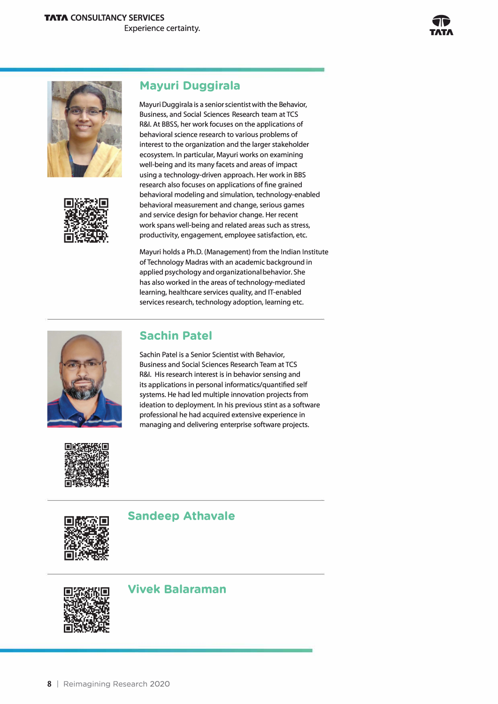



#### **Mayuri Duggirala**

Mayuri Duggirala is a senior scientist with the Behavior, Business, and Social Sciences Research team at TCS R&I. At BBSS, her work focuses on the applications of behavioral science research to various problems of interest to the organization and the larger stakeholder ecosystem. In particular, Mayuri works on examining well-being and its many facets and areas of impact using a technology-driven approach. Her work in BBS research also focuses on applications of fine grained behavioral modeling and simulation, technology-enabled behavioral measurement and change, serious games and service design for behavior change. Her recent work spans well-being and related areas such as stress, productivity, engagement, employee satisfaction, etc.

Mayuri holds a Ph.D. (Management) from the Indian Institute ofTechnology Madras with an academic background in applied psychology and organizational behavior. She has also worked in the areas of technology-mediated learning, healthcare services quality, and IT-enabled services research, technology adoption, learning etc.



#### **Sachin Patel**

Sachin Patel is a Senior Scientist with Behavior, Business and Social Sciences Research Team at TCS R&I. His research interest is in behavior sensing and its applications in personal informatics/quantified self systems. He had led multiple innovation projects from ideation to deployment. In his previous stint as a software professional he had acquired extensive experience in managing and delivering enterprise software projects.



#### **Sandeep Athavale**



#### **Vivek Balaraman**